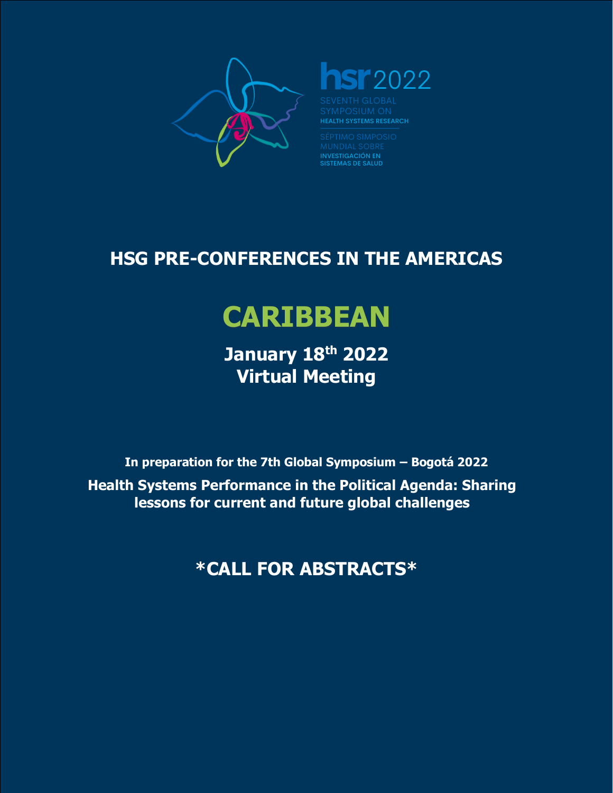

# **Sr** 2022

**HEALTH SYSTEMS RESEARCH** 

**INVESTIGACIÓN EN<br>SISTEMAS DE SALUD** 

# **HSG PRE-CONFERENCES IN THE AMERICAS**

# **CARIBBEAN**

**January 18th 2022 Virtual Meeting**

**In preparation for the 7th Global Symposium – Bogotá 2022 Health Systems Performance in the Political Agenda: Sharing lessons for current and future global challenges**

**\*CALL FOR ABSTRACTS\***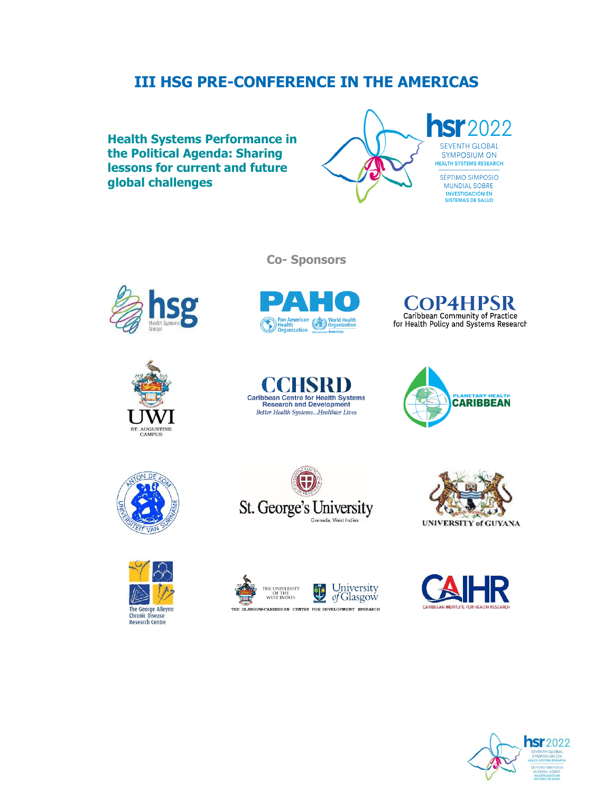# **III HSG PRE-CONFERENCE IN THE AMERICAS**

**Health Systems Performance in the Political Agenda: Sharing lessons for current and future global challenges**



**hSr**2022 **SEVENTH GLOBAL** SYMPOSIUM ON

> SÉPTIMO SIMPOSIO MUNDIAL SOBRE INVESTIGACIÓN EN<br>SISTEMAS DE SALUD





**Solution Construct Property September 1998**<br>The Organization **Construct Property Americas** 

**Co- Sponsors**

**COP4HPSR** Caribbean Community of Practice<br>for Health Policy and Systems Research

















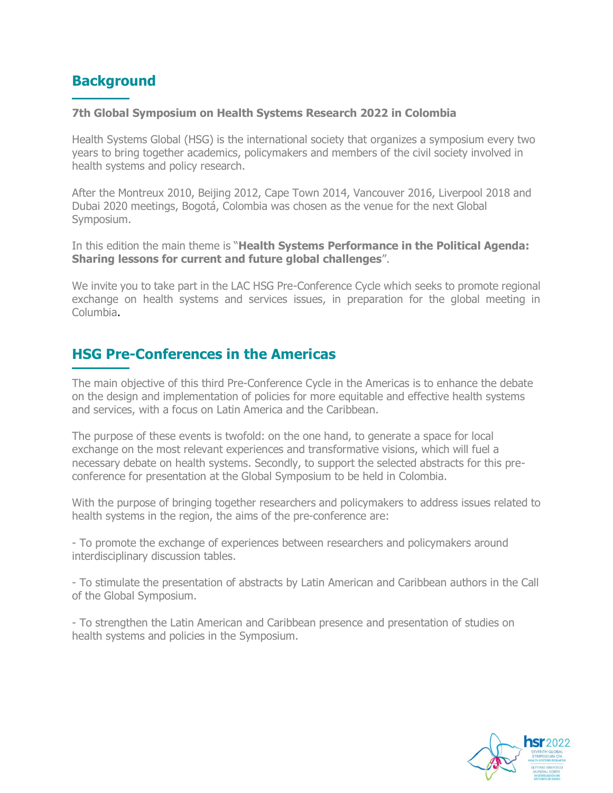# **Background**

#### **7th Global Symposium on Health Systems Research 2022 in Colombia**

Health Systems Global (HSG) is the international society that organizes a symposium every two years to bring together academics, policymakers and members of the civil society involved in health systems and policy research.

After the Montreux 2010, Beijing 2012, Cape Town 2014, Vancouver 2016, Liverpool 2018 and Dubai 2020 meetings, Bogotá, Colombia was chosen as the venue for the next Global Symposium.

In this edition the main theme is "**Health Systems Performance in the Political Agenda: Sharing lessons for current and future global challenges**".

We invite you to take part in the LAC HSG Pre-Conference Cycle which seeks to promote regional exchange on health systems and services issues, in preparation for the global meeting in Columbia.

## **HSG Pre-Conferences in the Americas**

The main objective of this third Pre-Conference Cycle in the Americas is to enhance the debate on the design and implementation of policies for more equitable and effective health systems and services, with a focus on Latin America and the Caribbean.

The purpose of these events is twofold: on the one hand, to generate a space for local exchange on the most relevant experiences and transformative visions, which will fuel a necessary debate on health systems. Secondly, to support the selected abstracts for this preconference for presentation at the Global Symposium to be held in Colombia.

With the purpose of bringing together researchers and policymakers to address issues related to health systems in the region, the aims of the pre-conference are:

- To promote the exchange of experiences between researchers and policymakers around interdisciplinary discussion tables.

- To stimulate the presentation of abstracts by Latin American and Caribbean authors in the Call of the Global Symposium.

- To strengthen the Latin American and Caribbean presence and presentation of studies on health systems and policies in the Symposium.

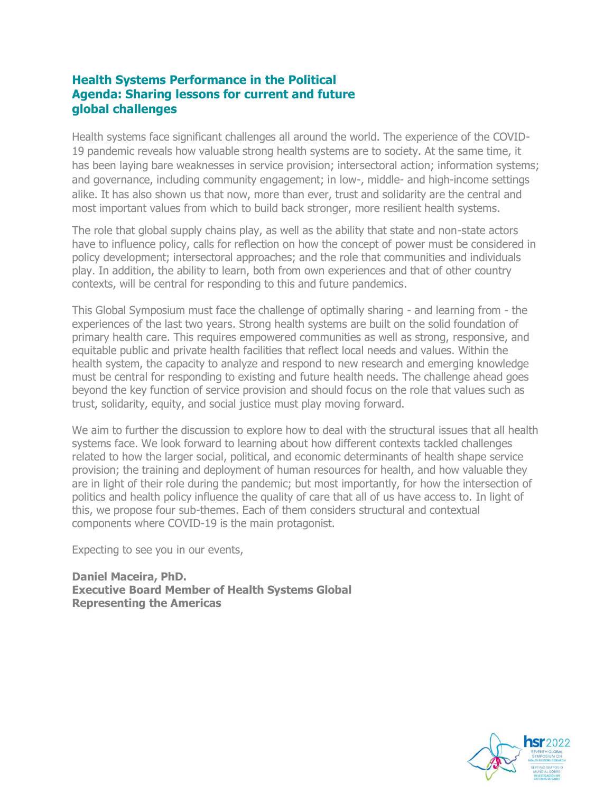#### **Health Systems Performance in the Political Agenda: Sharing lessons for current and future global challenges**

Health systems face significant challenges all around the world. The experience of the COVID-19 pandemic reveals how valuable strong health systems are to society. At the same time, it has been laying bare weaknesses in service provision; intersectoral action; information systems; and governance, including community engagement; in low-, middle- and high-income settings alike. It has also shown us that now, more than ever, trust and solidarity are the central and most important values from which to build back stronger, more resilient health systems.

The role that global supply chains play, as well as the ability that state and non-state actors have to influence policy, calls for reflection on how the concept of power must be considered in policy development; intersectoral approaches; and the role that communities and individuals play. In addition, the ability to learn, both from own experiences and that of other country contexts, will be central for responding to this and future pandemics.

This Global Symposium must face the challenge of optimally sharing - and learning from - the experiences of the last two years. Strong health systems are built on the solid foundation of primary health care. This requires empowered communities as well as strong, responsive, and equitable public and private health facilities that reflect local needs and values. Within the health system, the capacity to analyze and respond to new research and emerging knowledge must be central for responding to existing and future health needs. The challenge ahead goes beyond the key function of service provision and should focus on the role that values such as trust, solidarity, equity, and social justice must play moving forward.

We aim to further the discussion to explore how to deal with the structural issues that all health systems face. We look forward to learning about how different contexts tackled challenges related to how the larger social, political, and economic determinants of health shape service provision; the training and deployment of human resources for health, and how valuable they are in light of their role during the pandemic; but most importantly, for how the intersection of politics and health policy influence the quality of care that all of us have access to. In light of this, we propose four sub-themes. Each of them considers structural and contextual components where COVID-19 is the main protagonist.

Expecting to see you in our events,

**Daniel Maceira, PhD. Executive Board Member of Health Systems Global Representing the Americas**

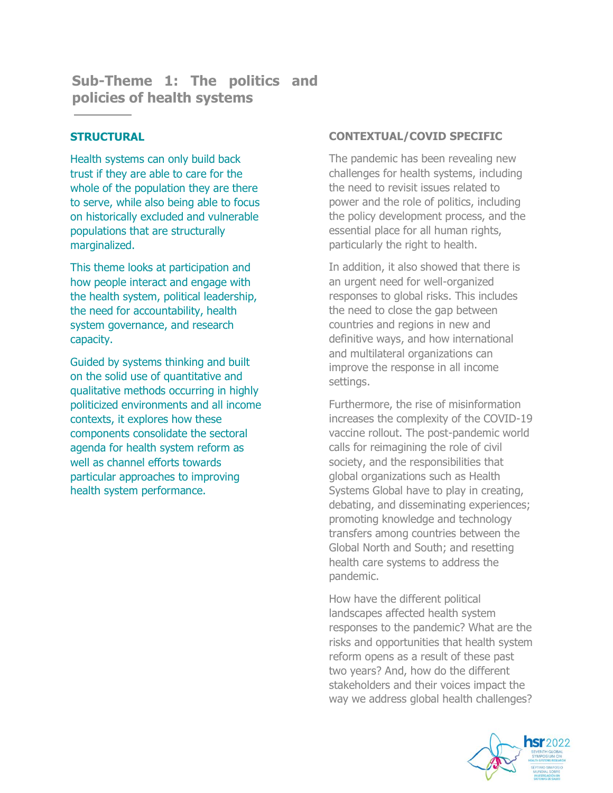**Sub-Theme 1: The politics and policies of health systems**

#### **STRUCTURAL**

Health systems can only build back trust if they are able to care for the whole of the population they are there to serve, while also being able to focus on historically excluded and vulnerable populations that are structurally marginalized.

This theme looks at participation and how people interact and engage with the health system, political leadership, the need for accountability, health system governance, and research capacity.

Guided by systems thinking and built on the solid use of quantitative and qualitative methods occurring in highly politicized environments and all income contexts, it explores how these components consolidate the sectoral agenda for health system reform as well as channel efforts towards particular approaches to improving health system performance.

#### **CONTEXTUAL/COVID SPECIFIC**

The pandemic has been revealing new challenges for health systems, including the need to revisit issues related to power and the role of politics, including the policy development process, and the essential place for all human rights, particularly the right to health.

In addition, it also showed that there is an urgent need for well-organized responses to global risks. This includes the need to close the gap between countries and regions in new and definitive ways, and how international and multilateral organizations can improve the response in all income settings.

Furthermore, the rise of misinformation increases the complexity of the COVID-19 vaccine rollout. The post-pandemic world calls for reimagining the role of civil society, and the responsibilities that global organizations such as Health Systems Global have to play in creating, debating, and disseminating experiences; promoting knowledge and technology transfers among countries between the Global North and South; and resetting health care systems to address the pandemic.

How have the different political landscapes affected health system responses to the pandemic? What are the risks and opportunities that health system reform opens as a result of these past two years? And, how do the different stakeholders and their voices impact the way we address global health challenges?

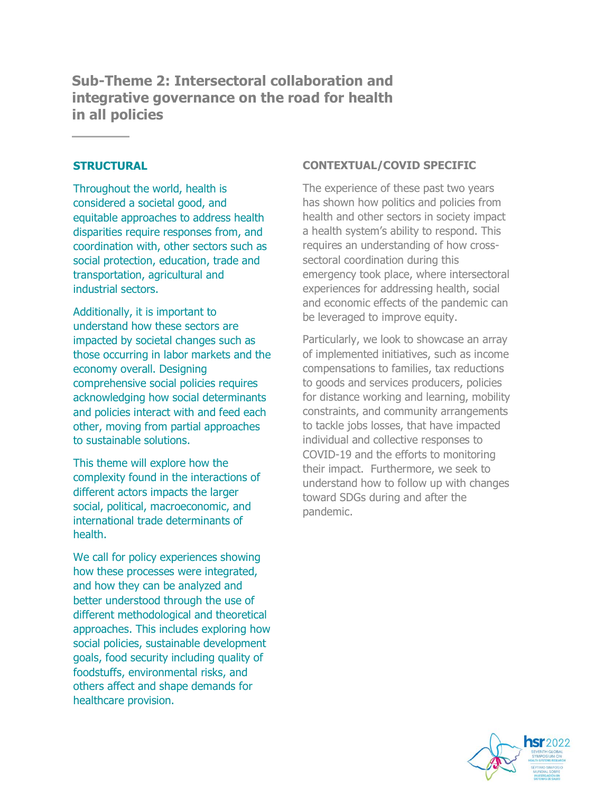**Sub-Theme 2: Intersectoral collaboration and integrative governance on the road for health in all policies**

#### **STRUCTURAL**

Throughout the world, health is considered a societal good, and equitable approaches to address health disparities require responses from, and coordination with, other sectors such as social protection, education, trade and transportation, agricultural and industrial sectors.

Additionally, it is important to understand how these sectors are impacted by societal changes such as those occurring in labor markets and the economy overall. Designing comprehensive social policies requires acknowledging how social determinants and policies interact with and feed each other, moving from partial approaches to sustainable solutions.

This theme will explore how the complexity found in the interactions of different actors impacts the larger social, political, macroeconomic, and international trade determinants of health.

We call for policy experiences showing how these processes were integrated, and how they can be analyzed and better understood through the use of different methodological and theoretical approaches. This includes exploring how social policies, sustainable development goals, food security including quality of foodstuffs, environmental risks, and others affect and shape demands for healthcare provision.

#### **CONTEXTUAL/COVID SPECIFIC**

The experience of these past two years has shown how politics and policies from health and other sectors in society impact a health system's ability to respond. This requires an understanding of how crosssectoral coordination during this emergency took place, where intersectoral experiences for addressing health, social and economic effects of the pandemic can be leveraged to improve equity.

Particularly, we look to showcase an array of implemented initiatives, such as income compensations to families, tax reductions to goods and services producers, policies for distance working and learning, mobility constraints, and community arrangements to tackle jobs losses, that have impacted individual and collective responses to COVID-19 and the efforts to monitoring their impact. Furthermore, we seek to understand how to follow up with changes toward SDGs during and after the pandemic.

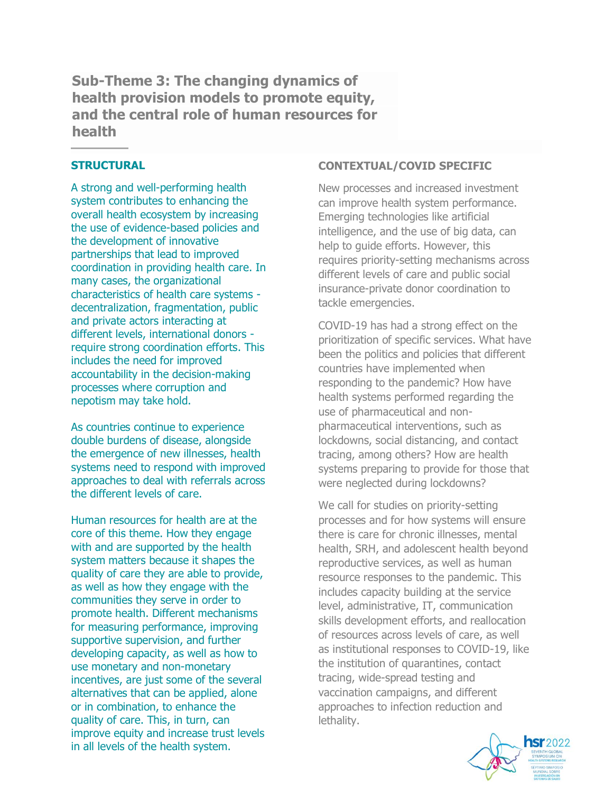**Sub-Theme 3: The changing dynamics of health provision models to promote equity, and the central role of human resources for health**

#### **STRUCTURAL**

A strong and well-performing health system contributes to enhancing the overall health ecosystem by increasing the use of evidence-based policies and the development of innovative partnerships that lead to improved coordination in providing health care. In many cases, the organizational characteristics of health care systems decentralization, fragmentation, public and private actors interacting at different levels, international donors require strong coordination efforts. This includes the need for improved accountability in the decision-making processes where corruption and nepotism may take hold.

As countries continue to experience double burdens of disease, alongside the emergence of new illnesses, health systems need to respond with improved approaches to deal with referrals across the different levels of care.

Human resources for health are at the core of this theme. How they engage with and are supported by the health system matters because it shapes the quality of care they are able to provide, as well as how they engage with the communities they serve in order to promote health. Different mechanisms for measuring performance, improving supportive supervision, and further developing capacity, as well as how to use monetary and non-monetary incentives, are just some of the several alternatives that can be applied, alone or in combination, to enhance the quality of care. This, in turn, can improve equity and increase trust levels in all levels of the health system.

#### **CONTEXTUAL/COVID SPECIFIC**

New processes and increased investment can improve health system performance. Emerging technologies like artificial intelligence, and the use of big data, can help to guide efforts. However, this requires priority-setting mechanisms across different levels of care and public social insurance-private donor coordination to tackle emergencies.

COVID-19 has had a strong effect on the prioritization of specific services. What have been the politics and policies that different countries have implemented when responding to the pandemic? How have health systems performed regarding the use of pharmaceutical and nonpharmaceutical interventions, such as lockdowns, social distancing, and contact tracing, among others? How are health systems preparing to provide for those that were neglected during lockdowns?

We call for studies on priority-setting processes and for how systems will ensure there is care for chronic illnesses, mental health, SRH, and adolescent health beyond reproductive services, as well as human resource responses to the pandemic. This includes capacity building at the service level, administrative, IT, communication skills development efforts, and reallocation of resources across levels of care, as well as institutional responses to COVID-19, like the institution of quarantines, contact tracing, wide-spread testing and vaccination campaigns, and different approaches to infection reduction and lethality.

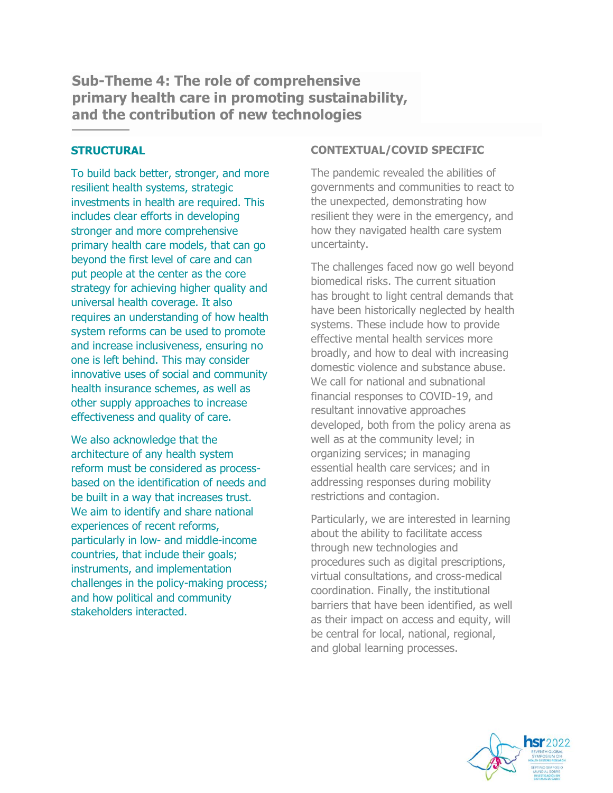**Sub-Theme 4: The role of comprehensive primary health care in promoting sustainability, and the contribution of new technologies**

#### **STRUCTURAL**

To build back better, stronger, and more resilient health systems, strategic investments in health are required. This includes clear efforts in developing stronger and more comprehensive primary health care models, that can go beyond the first level of care and can put people at the center as the core strategy for achieving higher quality and universal health coverage. It also requires an understanding of how health system reforms can be used to promote and increase inclusiveness, ensuring no one is left behind. This may consider innovative uses of social and community health insurance schemes, as well as other supply approaches to increase effectiveness and quality of care.

We also acknowledge that the architecture of any health system reform must be considered as processbased on the identification of needs and be built in a way that increases trust. We aim to identify and share national experiences of recent reforms, particularly in low- and middle-income countries, that include their goals; instruments, and implementation challenges in the policy-making process; and how political and community stakeholders interacted.

#### **CONTEXTUAL/COVID SPECIFIC**

The pandemic revealed the abilities of governments and communities to react to the unexpected, demonstrating how resilient they were in the emergency, and how they navigated health care system uncertainty.

The challenges faced now go well beyond biomedical risks. The current situation has brought to light central demands that have been historically neglected by health systems. These include how to provide effective mental health services more broadly, and how to deal with increasing domestic violence and substance abuse. We call for national and subnational financial responses to COVID-19, and resultant innovative approaches developed, both from the policy arena as well as at the community level; in organizing services; in managing essential health care services; and in addressing responses during mobility restrictions and contagion.

Particularly, we are interested in learning about the ability to facilitate access through new technologies and procedures such as digital prescriptions, virtual consultations, and cross-medical coordination. Finally, the institutional barriers that have been identified, as well as their impact on access and equity, will be central for local, national, regional, and global learning processes.